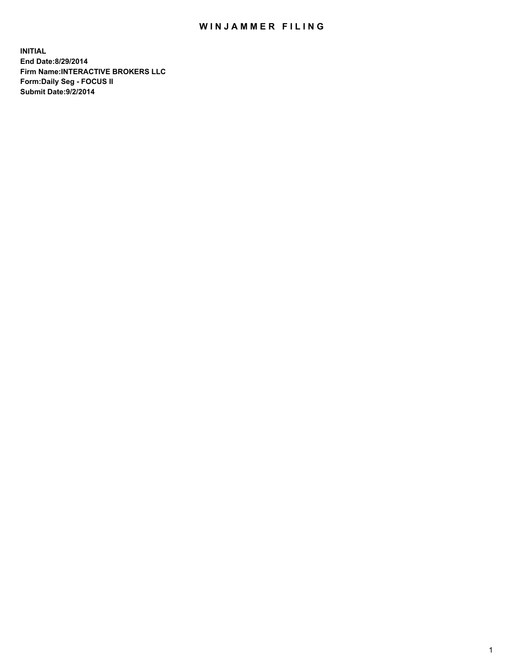## WIN JAMMER FILING

**INITIAL End Date:8/29/2014 Firm Name:INTERACTIVE BROKERS LLC Form:Daily Seg - FOCUS II Submit Date:9/2/2014**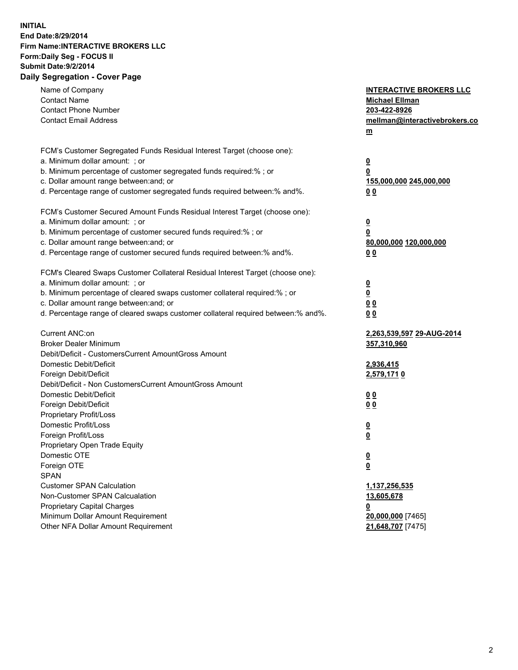## **INITIAL End Date:8/29/2014 Firm Name:INTERACTIVE BROKERS LLC Form:Daily Seg - FOCUS II Submit Date:9/2/2014 Daily Segregation - Cover Page**

| Name of Company<br><b>Contact Name</b><br><b>Contact Phone Number</b><br><b>Contact Email Address</b>                                                                                                                                                                                                                          | <b>INTERACTIVE BROKERS LLC</b><br><b>Michael Ellman</b><br>203-422-8926<br>mellman@interactivebrokers.co<br>m |
|--------------------------------------------------------------------------------------------------------------------------------------------------------------------------------------------------------------------------------------------------------------------------------------------------------------------------------|---------------------------------------------------------------------------------------------------------------|
| FCM's Customer Segregated Funds Residual Interest Target (choose one):<br>a. Minimum dollar amount: ; or<br>b. Minimum percentage of customer segregated funds required:% ; or<br>c. Dollar amount range between: and; or<br>d. Percentage range of customer segregated funds required between:% and%.                         | $\overline{\mathbf{0}}$<br>0<br>155,000,000 245,000,000<br>00                                                 |
| FCM's Customer Secured Amount Funds Residual Interest Target (choose one):<br>a. Minimum dollar amount: ; or<br>b. Minimum percentage of customer secured funds required:% ; or<br>c. Dollar amount range between: and; or<br>d. Percentage range of customer secured funds required between:% and%.                           | $\overline{\mathbf{0}}$<br>0<br>80,000,000 120,000,000<br>0 <sub>0</sub>                                      |
| FCM's Cleared Swaps Customer Collateral Residual Interest Target (choose one):<br>a. Minimum dollar amount: ; or<br>b. Minimum percentage of cleared swaps customer collateral required:% ; or<br>c. Dollar amount range between: and; or<br>d. Percentage range of cleared swaps customer collateral required between:% and%. | $\overline{\mathbf{0}}$<br><u>0</u><br>0 <sub>0</sub><br>0 <sub>0</sub>                                       |
| Current ANC:on<br><b>Broker Dealer Minimum</b><br>Debit/Deficit - CustomersCurrent AmountGross Amount<br>Domestic Debit/Deficit<br>Foreign Debit/Deficit                                                                                                                                                                       | 2,263,539,597 29-AUG-2014<br>357,310,960<br>2,936,415<br>2,579,1710                                           |
| Debit/Deficit - Non CustomersCurrent AmountGross Amount<br>Domestic Debit/Deficit<br>Foreign Debit/Deficit<br>Proprietary Profit/Loss<br>Domestic Profit/Loss<br>Foreign Profit/Loss                                                                                                                                           | 0 <sub>0</sub><br>0 <sub>0</sub><br>$\overline{\mathbf{0}}$<br>$\overline{\mathbf{0}}$                        |
| Proprietary Open Trade Equity<br>Domestic OTE<br>Foreign OTE<br><b>SPAN</b><br><b>Customer SPAN Calculation</b>                                                                                                                                                                                                                | $\overline{\mathbf{0}}$<br><u>0</u><br>1,137,256,535                                                          |
| Non-Customer SPAN Calcualation<br><b>Proprietary Capital Charges</b><br>Minimum Dollar Amount Requirement<br>Other NFA Dollar Amount Requirement                                                                                                                                                                               | 13,605,678<br><u>0</u><br>20,000,000 [7465]<br>21,648,707 [7475]                                              |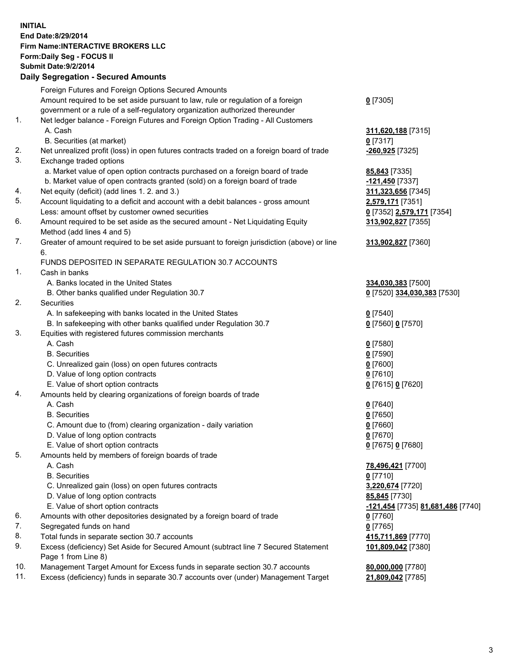## **INITIAL End Date:8/29/2014 Firm Name:INTERACTIVE BROKERS LLC Form:Daily Seg - FOCUS II Submit Date:9/2/2014 Daily Segregation - Secured Amounts**

|     | Foreign Futures and Foreign Options Secured Amounts                                         |                                   |
|-----|---------------------------------------------------------------------------------------------|-----------------------------------|
|     | Amount required to be set aside pursuant to law, rule or regulation of a foreign            | $0$ [7305]                        |
|     | government or a rule of a self-regulatory organization authorized thereunder                |                                   |
| 1.  | Net ledger balance - Foreign Futures and Foreign Option Trading - All Customers             |                                   |
|     | A. Cash                                                                                     | 311,620,188 [7315]                |
|     | B. Securities (at market)                                                                   | $0$ [7317]                        |
| 2.  | Net unrealized profit (loss) in open futures contracts traded on a foreign board of trade   | <mark>-260,925</mark> [7325]      |
| 3.  | Exchange traded options                                                                     |                                   |
|     | a. Market value of open option contracts purchased on a foreign board of trade              | 85,843 [7335]                     |
|     | b. Market value of open contracts granted (sold) on a foreign board of trade                | -121,450 [7337]                   |
| 4.  | Net equity (deficit) (add lines 1.2. and 3.)                                                | 311,323,656 [7345]                |
| 5.  | Account liquidating to a deficit and account with a debit balances - gross amount           | 2,579,171 [7351]                  |
|     | Less: amount offset by customer owned securities                                            | 0 [7352] 2,579,171 [7354]         |
| 6.  | Amount required to be set aside as the secured amount - Net Liquidating Equity              | 313,902,827 [7355]                |
|     | Method (add lines 4 and 5)                                                                  |                                   |
| 7.  | Greater of amount required to be set aside pursuant to foreign jurisdiction (above) or line | 313,902,827 [7360]                |
|     | 6.                                                                                          |                                   |
|     | FUNDS DEPOSITED IN SEPARATE REGULATION 30.7 ACCOUNTS                                        |                                   |
| 1.  | Cash in banks                                                                               |                                   |
|     | A. Banks located in the United States                                                       | 334,030,383 [7500]                |
|     | B. Other banks qualified under Regulation 30.7                                              | 0 [7520] 334,030,383 [7530]       |
| 2.  | Securities                                                                                  |                                   |
|     | A. In safekeeping with banks located in the United States                                   | $Q$ [7540]                        |
|     | B. In safekeeping with other banks qualified under Regulation 30.7                          | 0 [7560] 0 [7570]                 |
| 3.  | Equities with registered futures commission merchants                                       |                                   |
|     | A. Cash                                                                                     | $0$ [7580]                        |
|     | <b>B.</b> Securities                                                                        | $0$ [7590]                        |
|     | C. Unrealized gain (loss) on open futures contracts                                         | $0$ [7600]                        |
|     | D. Value of long option contracts                                                           | $0$ [7610]                        |
|     | E. Value of short option contracts                                                          | 0 [7615] 0 [7620]                 |
| 4.  | Amounts held by clearing organizations of foreign boards of trade                           |                                   |
|     | A. Cash                                                                                     | $0$ [7640]                        |
|     | <b>B.</b> Securities                                                                        | $0$ [7650]                        |
|     | C. Amount due to (from) clearing organization - daily variation                             | $0$ [7660]                        |
|     | D. Value of long option contracts                                                           | $0$ [7670]                        |
|     | E. Value of short option contracts                                                          | 0 [7675] 0 [7680]                 |
| 5.  | Amounts held by members of foreign boards of trade                                          |                                   |
|     | A. Cash                                                                                     | 78,496,421 [7700]                 |
|     | <b>B.</b> Securities                                                                        | $0$ [7710]                        |
|     | C. Unrealized gain (loss) on open futures contracts                                         | 3,220,674 [7720]                  |
|     | D. Value of long option contracts                                                           | 85,845 [7730]                     |
|     | E. Value of short option contracts                                                          | -121,454 [7735] 81,681,486 [7740] |
| 6.  | Amounts with other depositories designated by a foreign board of trade                      | $0$ [7760]                        |
| 7.  | Segregated funds on hand                                                                    | $0$ [7765]                        |
| 8.  | Total funds in separate section 30.7 accounts                                               |                                   |
| 9.  | Excess (deficiency) Set Aside for Secured Amount (subtract line 7 Secured Statement         | 415,711,869 [7770]                |
|     | Page 1 from Line 8)                                                                         | 101,809,042 [7380]                |
| 10. | Management Target Amount for Excess funds in separate section 30.7 accounts                 | 80,000,000 [7780]                 |
| 11. | Excess (deficiency) funds in separate 30.7 accounts over (under) Management Target          | 21,809,042 [7785]                 |
|     |                                                                                             |                                   |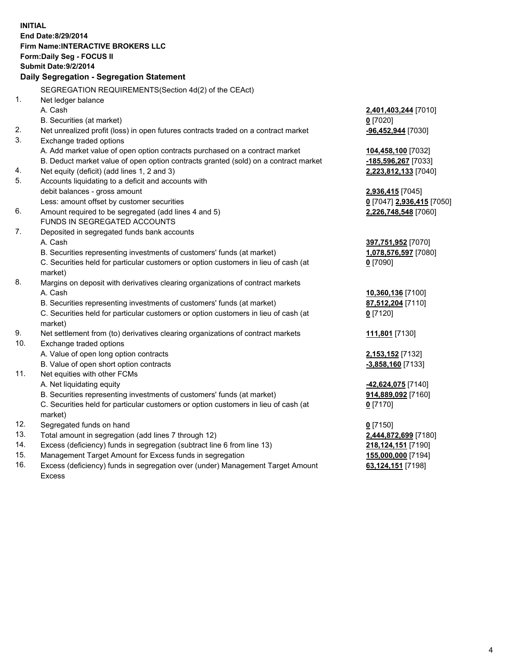**INITIAL End Date:8/29/2014 Firm Name:INTERACTIVE BROKERS LLC Form:Daily Seg - FOCUS II Submit Date:9/2/2014 Daily Segregation - Segregation Statement** SEGREGATION REQUIREMENTS(Section 4d(2) of the CEAct) 1. Net ledger balance A. Cash **2,401,403,244** [7010] B. Securities (at market) **0** [7020] 2. Net unrealized profit (loss) in open futures contracts traded on a contract market **-96,452,944** [7030] 3. Exchange traded options A. Add market value of open option contracts purchased on a contract market **104,458,100** [7032] B. Deduct market value of open option contracts granted (sold) on a contract market **-185,596,267** [7033] 4. Net equity (deficit) (add lines 1, 2 and 3) **2,223,812,133** [7040] 5. Accounts liquidating to a deficit and accounts with debit balances - gross amount **2,936,415** [7045] Less: amount offset by customer securities **0** [7047] **2,936,415** [7050] 6. Amount required to be segregated (add lines 4 and 5) **2,226,748,548** [7060] FUNDS IN SEGREGATED ACCOUNTS 7. Deposited in segregated funds bank accounts A. Cash **397,751,952** [7070] B. Securities representing investments of customers' funds (at market) **1,078,576,597** [7080] C. Securities held for particular customers or option customers in lieu of cash (at market) **0** [7090] 8. Margins on deposit with derivatives clearing organizations of contract markets A. Cash **10,360,136** [7100] B. Securities representing investments of customers' funds (at market) **87,512,204** [7110] C. Securities held for particular customers or option customers in lieu of cash (at market) **0** [7120] 9. Net settlement from (to) derivatives clearing organizations of contract markets **111,801** [7130] 10. Exchange traded options A. Value of open long option contracts **2,153,152** [7132] B. Value of open short option contracts **-3,858,160** [7133] 11. Net equities with other FCMs A. Net liquidating equity **-42,624,075** [7140] B. Securities representing investments of customers' funds (at market) **914,889,092** [7160] C. Securities held for particular customers or option customers in lieu of cash (at market) **0** [7170] 12. Segregated funds on hand **0** [7150] 13. Total amount in segregation (add lines 7 through 12) **2,444,872,699** [7180] 14. Excess (deficiency) funds in segregation (subtract line 6 from line 13) **218,124,151** [7190] 15. Management Target Amount for Excess funds in segregation **155,000,000** [7194]

16. Excess (deficiency) funds in segregation over (under) Management Target Amount Excess

**63,124,151** [7198]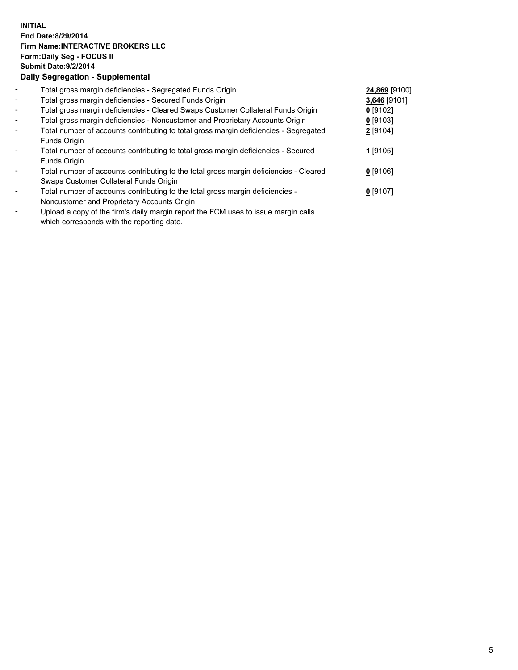## **INITIAL End Date:8/29/2014 Firm Name:INTERACTIVE BROKERS LLC Form:Daily Seg - FOCUS II Submit Date:9/2/2014 Daily Segregation - Supplemental**

| $\blacksquare$           | Total gross margin deficiencies - Segregated Funds Origin                              | 24,869 [9100] |  |
|--------------------------|----------------------------------------------------------------------------------------|---------------|--|
| $\overline{\phantom{a}}$ | Total gross margin deficiencies - Secured Funds Origin                                 | 3,646 [9101]  |  |
| $\blacksquare$           | Total gross margin deficiencies - Cleared Swaps Customer Collateral Funds Origin       | $0$ [9102]    |  |
| $\blacksquare$           | Total gross margin deficiencies - Noncustomer and Proprietary Accounts Origin          | $0$ [9103]    |  |
| $\blacksquare$           | Total number of accounts contributing to total gross margin deficiencies - Segregated  | $2$ [9104]    |  |
|                          | Funds Origin                                                                           |               |  |
|                          | Total number of accounts contributing to total gross margin deficiencies - Secured     | 1 [9105]      |  |
|                          | Funds Origin                                                                           |               |  |
|                          | Total number of accounts contributing to the total gross margin deficiencies - Cleared | $0$ [9106]    |  |
|                          | Swaps Customer Collateral Funds Origin                                                 |               |  |
|                          | Total number of accounts contributing to the total gross margin deficiencies -         | $0$ [9107]    |  |
|                          | Noncustomer and Proprietary Accounts Origin                                            |               |  |
|                          |                                                                                        |               |  |

- Upload a copy of the firm's daily margin report the FCM uses to issue margin calls which corresponds with the reporting date.